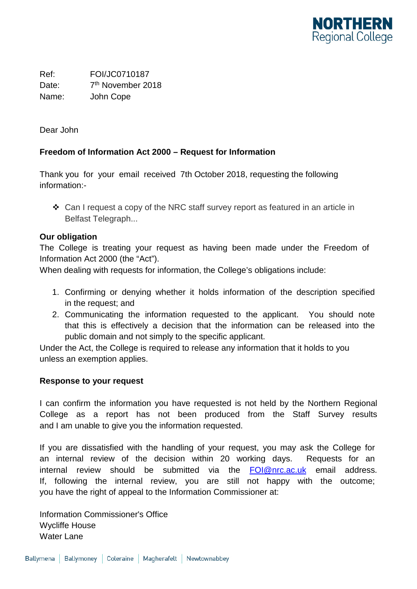

Ref: FOI/JC0710187 Date: 7<sup>th</sup> November 2018 Name: John Cope

Dear John

## **Freedom of Information Act 2000 – Request for Information**

Thank you for your email received 7th October 2018, requesting the following information:-

 $\div$  Can I request a copy of the NRC staff survey report as featured in an article in Belfast Telegraph...

## **Our obligation**

The College is treating your request as having been made under the Freedom of Information Act 2000 (the "Act").

When dealing with requests for information, the College's obligations include:

- 1. Confirming or denying whether it holds information of the description specified in the request; and
- 2. Communicating the information requested to the applicant. You should note that this is effectively a decision that the information can be released into the public domain and not simply to the specific applicant.

Under the Act, the College is required to release any information that it holds to you unless an exemption applies.

## **Response to your request**

I can confirm the information you have requested is not held by the Northern Regional College as a report has not been produced from the Staff Survey results and I am unable to give you the information requested.

If you are dissatisfied with the handling of your request, you may ask the College for an internal review of the decision within 20 working days. Requests for an internal review should be submitted via the [FOI@nrc.ac.uk](mailto:xxx@xxx.xx.xx) email address. If, following the internal review, you are still not happy with the outcome; you have the right of appeal to the Information Commissioner at:

Information Commissioner's Office Wycliffe House Water Lane